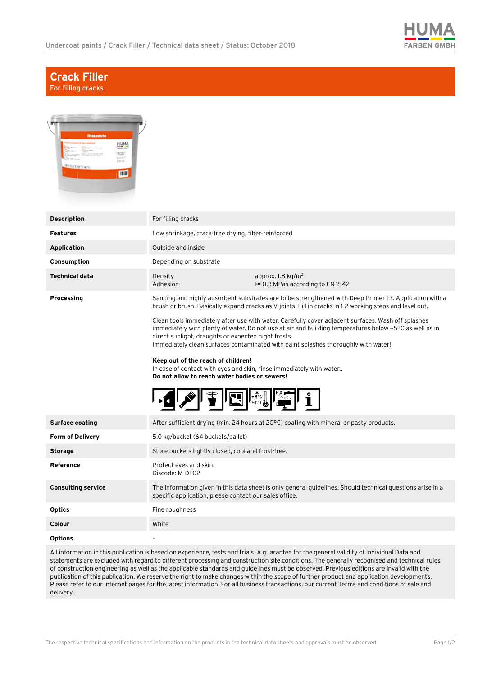

## **Crack Filler** For filling cracks

| Risspaste<br>HUMA<br>演出<br>1888年<br>1895<br>159000700<br><b>THE</b> |                                                                                                                                                                                                                                                                                                                                                           |
|---------------------------------------------------------------------|-----------------------------------------------------------------------------------------------------------------------------------------------------------------------------------------------------------------------------------------------------------------------------------------------------------------------------------------------------------|
| <b>Description</b>                                                  | For filling cracks                                                                                                                                                                                                                                                                                                                                        |
| <b>Features</b>                                                     | Low shrinkage, crack-free drying, fiber-reinforced                                                                                                                                                                                                                                                                                                        |
| <b>Application</b>                                                  | Outside and inside                                                                                                                                                                                                                                                                                                                                        |
| Consumption                                                         | Depending on substrate                                                                                                                                                                                                                                                                                                                                    |
| <b>Technical data</b>                                               | approx. 1.8 $kg/m2$<br>Density<br>Adhesion<br>>= 0,3 MPas according to EN 1542                                                                                                                                                                                                                                                                            |
| Processing                                                          | Sanding and highly absorbent substrates are to be strengthened with Deep Primer LF. Application with a<br>brush or brush. Basically expand cracks as V-joints. Fill in cracks in 1-2 working steps and level out.                                                                                                                                         |
|                                                                     | Clean tools immediately after use with water. Carefully cover adjacent surfaces. Wash off splashes<br>immediately with plenty of water. Do not use at air and building temperatures below +5°C as well as in<br>direct sunlight, draughts or expected night frosts.<br>Immediately clean surfaces contaminated with paint splashes thoroughly with water! |
|                                                                     | Keep out of the reach of children!<br>In case of contact with eyes and skin, rinse immediately with water<br>Do not allow to reach water bodies or sewers!                                                                                                                                                                                                |
|                                                                     | $+5^{\circ}$ C                                                                                                                                                                                                                                                                                                                                            |
| <b>Surface coating</b>                                              | After sufficient drying (min. 24 hours at 20°C) coating with mineral or pasty products.                                                                                                                                                                                                                                                                   |
| <b>Form of Delivery</b>                                             | 5.0 kg/bucket (64 buckets/pallet)                                                                                                                                                                                                                                                                                                                         |
| <b>Storage</b>                                                      | Store buckets tightly closed, cool and frost-free.                                                                                                                                                                                                                                                                                                        |
| Reference                                                           | Protect eyes and skin.<br>Giscode: M-DF02                                                                                                                                                                                                                                                                                                                 |
| <b>Consulting service</b>                                           | The information given in this data sheet is only general guidelines. Should technical questions arise in a<br>specific application, please contact our sales office.                                                                                                                                                                                      |
| <b>Optics</b>                                                       | Fine roughness                                                                                                                                                                                                                                                                                                                                            |
| Colour                                                              | White                                                                                                                                                                                                                                                                                                                                                     |
| <b>Options</b>                                                      |                                                                                                                                                                                                                                                                                                                                                           |
|                                                                     | All information in this nublication is based on experience tests and trials. A quarantee for the general validity of individual Data and                                                                                                                                                                                                                  |

All information in this publication is based on experience, tests and trials. A guarantee for the general validity of individual Data and statements are excluded with regard to different processing and construction site conditions. The generally recognised and technical rules of construction engineering as well as the applicable standards and guidelines must be observed. Previous editions are invalid with the publication of this publication. We reserve the right to make changes within the scope of further product and application developments. Please refer to our Internet pages for the latest information. For all business transactions, our current Terms and conditions of sale and delivery.